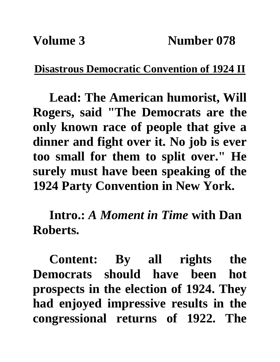## **Disastrous Democratic Convention of 1924 II**

**Lead: The American humorist, Will Rogers, said "The Democrats are the only known race of people that give a dinner and fight over it. No job is ever too small for them to split over." He surely must have been speaking of the 1924 Party Convention in New York.**

**Intro.:** *A Moment in Time* **with Dan Roberts.**

**Content: By all rights the Democrats should have been hot prospects in the election of 1924. They had enjoyed impressive results in the congressional returns of 1922. The**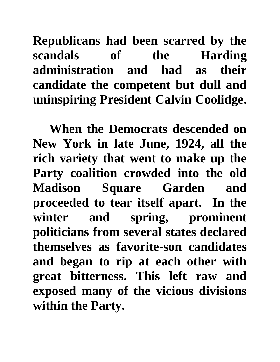**Republicans had been scarred by the scandals of the Harding administration and had as their candidate the competent but dull and uninspiring President Calvin Coolidge.** 

**When the Democrats descended on New York in late June, 1924, all the rich variety that went to make up the Party coalition crowded into the old Madison Square Garden and proceeded to tear itself apart. In the winter and spring, prominent politicians from several states declared themselves as favorite-son candidates and began to rip at each other with great bitterness. This left raw and exposed many of the vicious divisions within the Party.**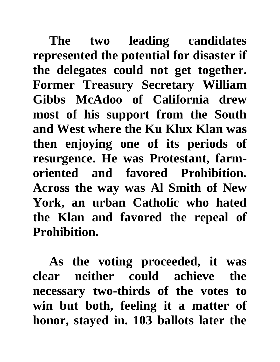**The two leading candidates represented the potential for disaster if the delegates could not get together. Former Treasury Secretary William Gibbs McAdoo of California drew most of his support from the South and West where the Ku Klux Klan was then enjoying one of its periods of resurgence. He was Protestant, farmoriented and favored Prohibition. Across the way was Al Smith of New York, an urban Catholic who hated the Klan and favored the repeal of Prohibition.** 

**As the voting proceeded, it was clear neither could achieve the necessary two-thirds of the votes to win but both, feeling it a matter of honor, stayed in. 103 ballots later the**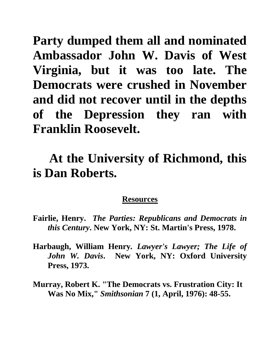**Party dumped them all and nominated Ambassador John W. Davis of West Virginia, but it was too late. The Democrats were crushed in November and did not recover until in the depths of the Depression they ran with Franklin Roosevelt.**

## **At the University of Richmond, this is Dan Roberts.**

## **Resources**

- **Fairlie, Henry.** *The Parties: Republicans and Democrats in this Century***. New York, NY: St. Martin's Press, 1978.**
- **Harbaugh, William Henry***. Lawyer's Lawyer; The Life of John W. Davis***. New York, NY: Oxford University Press, 1973.**
- **Murray, Robert K. "The Democrats vs. Frustration City: It Was No Mix,"** *Smithsonian* **7 (1, April, 1976): 48-55.**